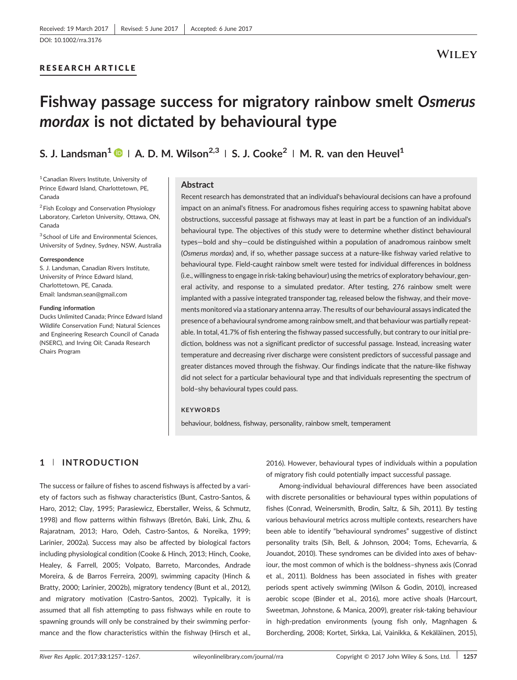# RESEARCH ARTICLE

# Fishway passage success for migratory rainbow smelt Osmerus mordax is not dictated by behavioural type

# S. J. Landsman<sup>1</sup>  $\bullet$  | A. D. M. Wilson<sup>2,3</sup> | S. J. Cooke<sup>2</sup> | M. R. van den Heuvel<sup>1</sup>

1Canadian Rivers Institute, University of Prince Edward Island, Charlottetown, PE, Canada

<sup>2</sup> Fish Ecology and Conservation Physiology Laboratory, Carleton University, Ottawa, ON, Canada

<sup>3</sup> School of Life and Environmental Sciences, University of Sydney, Sydney, NSW, Australia

#### **Correspondence**

S. J. Landsman, Canadian Rivers Institute, University of Prince Edward Island, Charlottetown, PE, Canada. Email: [landsman.sean@gmail.com](mailto:landsman.sean@gmail.com)

#### Funding information

Ducks Unlimited Canada; Prince Edward Island Wildlife Conservation Fund; Natural Sciences and Engineering Research Council of Canada (NSERC), and Irving Oil; Canada Research Chairs Program

#### Abstract

Recent research has demonstrated that an individual's behavioural decisions can have a profound impact on an animal's fitness. For anadromous fishes requiring access to spawning habitat above obstructions, successful passage at fishways may at least in part be a function of an individual's behavioural type. The objectives of this study were to determine whether distinct behavioural types—bold and shy—could be distinguished within a population of anadromous rainbow smelt (Osmerus mordax) and, if so, whether passage success at a nature‐like fishway varied relative to behavioural type. Field‐caught rainbow smelt were tested for individual differences in boldness (i.e., willingness to engage in risk‐taking behaviour) using the metrics of exploratory behaviour, general activity, and response to a simulated predator. After testing, 276 rainbow smelt were implanted with a passive integrated transponder tag, released below the fishway, and their movements monitored via a stationary antenna array. The results of our behavioural assays indicated the presence of a behavioural syndrome among rainbow smelt, and that behaviour was partially repeatable. In total, 41.7% of fish entering the fishway passed successfully, but contrary to our initial prediction, boldness was not a significant predictor of successful passage. Instead, increasing water temperature and decreasing river discharge were consistent predictors of successful passage and greater distances moved through the fishway. Our findings indicate that the nature‐like fishway did not select for a particular behavioural type and that individuals representing the spectrum of bold–shy behavioural types could pass.

#### **KEYWORDS**

behaviour, boldness, fishway, personality, rainbow smelt, temperament

# 1 | INTRODUCTION

The success or failure of fishes to ascend fishways is affected by a variety of factors such as fishway characteristics (Bunt, Castro‐Santos, & Haro, 2012; Clay, 1995; Parasiewicz, Eberstaller, Weiss, & Schmutz, 1998) and flow patterns within fishways (Bretón, Baki, Link, Zhu, & Rajaratnam, 2013; Haro, Odeh, Castro‐Santos, & Noreika, 1999; Larinier, 2002a). Success may also be affected by biological factors including physiological condition (Cooke & Hinch, 2013; Hinch, Cooke, Healey, & Farrell, 2005; Volpato, Barreto, Marcondes, Andrade Moreira, & de Barros Ferreira, 2009), swimming capacity (Hinch & Bratty, 2000; Larinier, 2002b), migratory tendency (Bunt et al., 2012), and migratory motivation (Castro‐Santos, 2002). Typically, it is assumed that all fish attempting to pass fishways while en route to spawning grounds will only be constrained by their swimming performance and the flow characteristics within the fishway (Hirsch et al.,

2016). However, behavioural types of individuals within a population of migratory fish could potentially impact successful passage.

Among‐individual behavioural differences have been associated with discrete personalities or behavioural types within populations of fishes (Conrad, Weinersmith, Brodin, Saltz, & Sih, 2011). By testing various behavioural metrics across multiple contexts, researchers have been able to identify "behavioural syndromes" suggestive of distinct personality traits (Sih, Bell, & Johnson, 2004; Toms, Echevarria, & Jouandot, 2010). These syndromes can be divided into axes of behaviour, the most common of which is the boldness–shyness axis (Conrad et al., 2011). Boldness has been associated in fishes with greater periods spent actively swimming (Wilson & Godin, 2010), increased aerobic scope (Binder et al., 2016), more active shoals (Harcourt, Sweetman, Johnstone, & Manica, 2009), greater risk‐taking behaviour in high‐predation environments (young fish only, Magnhagen & Borcherding, 2008; Kortet, Sirkka, Lai, Vainikka, & Kekäläinen, 2015),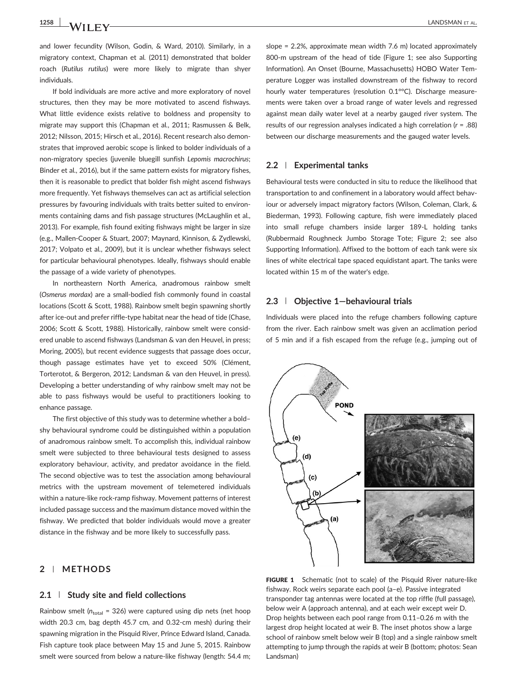**1258 WII FY** LANDSMAN ET AL.

and lower fecundity (Wilson, Godin, & Ward, 2010). Similarly, in a migratory context, Chapman et al. (2011) demonstrated that bolder roach (Rutilus rutilus) were more likely to migrate than shyer individuals.

If bold individuals are more active and more exploratory of novel structures, then they may be more motivated to ascend fishways. What little evidence exists relative to boldness and propensity to migrate may support this (Chapman et al., 2011; Rasmussen & Belk, 2012; Nilsson, 2015; Hirsch et al., 2016). Recent research also demonstrates that improved aerobic scope is linked to bolder individuals of a non‐migratory species (juvenile bluegill sunfish Lepomis macrochirus; Binder et al., 2016), but if the same pattern exists for migratory fishes, then it is reasonable to predict that bolder fish might ascend fishways more frequently. Yet fishways themselves can act as artificial selection pressures by favouring individuals with traits better suited to environments containing dams and fish passage structures (McLaughlin et al., 2013). For example, fish found exiting fishways might be larger in size (e.g., Mallen‐Cooper & Stuart, 2007; Maynard, Kinnison, & Zydlewski, 2017; Volpato et al., 2009), but it is unclear whether fishways select for particular behavioural phenotypes. Ideally, fishways should enable the passage of a wide variety of phenotypes.

In northeastern North America, anadromous rainbow smelt (Osmerus mordax) are a small‐bodied fish commonly found in coastal locations (Scott & Scott, 1988). Rainbow smelt begin spawning shortly after ice‐out and prefer riffle‐type habitat near the head of tide (Chase, 2006; Scott & Scott, 1988). Historically, rainbow smelt were considered unable to ascend fishways (Landsman & van den Heuvel, in press; Moring, 2005), but recent evidence suggests that passage does occur, though passage estimates have yet to exceed 50% (Clément, Torterotot, & Bergeron, 2012; Landsman & van den Heuvel, in press). Developing a better understanding of why rainbow smelt may not be able to pass fishways would be useful to practitioners looking to enhance passage.

The first objective of this study was to determine whether a bold– shy behavioural syndrome could be distinguished within a population of anadromous rainbow smelt. To accomplish this, individual rainbow smelt were subjected to three behavioural tests designed to assess exploratory behaviour, activity, and predator avoidance in the field. The second objective was to test the association among behavioural metrics with the upstream movement of telemetered individuals within a nature‐like rock‐ramp fishway. Movement patterns of interest included passage success and the maximum distance moved within the fishway. We predicted that bolder individuals would move a greater distance in the fishway and be more likely to successfully pass.

### 2 | METHODS

#### 2.1 Study site and field collections

Rainbow smelt ( $n_{\text{total}}$  = 326) were captured using dip nets (net hoop width 20.3 cm, bag depth 45.7 cm, and 0.32‐cm mesh) during their spawning migration in the Pisquid River, Prince Edward Island, Canada. Fish capture took place between May 15 and June 5, 2015. Rainbow smelt were sourced from below a nature-like fishway (length: 54.4 m; slope = 2.2%, approximate mean width 7.6 m) located approximately 800-m upstream of the head of tide (Figure 1; see also Supporting Information). An Onset (Bourne, Massachusetts) HOBO Water Temperature Logger was installed downstream of the fishway to record hourly water temperatures (resolution 0.1°°C). Discharge measurements were taken over a broad range of water levels and regressed against mean daily water level at a nearby gauged river system. The results of our regression analyses indicated a high correlation  $(r = .88)$ between our discharge measurements and the gauged water levels.

#### 2.2 | Experimental tanks

Behavioural tests were conducted in situ to reduce the likelihood that transportation to and confinement in a laboratory would affect behaviour or adversely impact migratory factors (Wilson, Coleman, Clark, & Biederman, 1993). Following capture, fish were immediately placed into small refuge chambers inside larger 189‐L holding tanks (Rubbermaid Roughneck Jumbo Storage Tote; Figure 2; see also Supporting Information). Affixed to the bottom of each tank were six lines of white electrical tape spaced equidistant apart. The tanks were located within 15 m of the water's edge.

#### 2.3 | Objective 1—behavioural trials

Individuals were placed into the refuge chambers following capture from the river. Each rainbow smelt was given an acclimation period of 5 min and if a fish escaped from the refuge (e.g., jumping out of



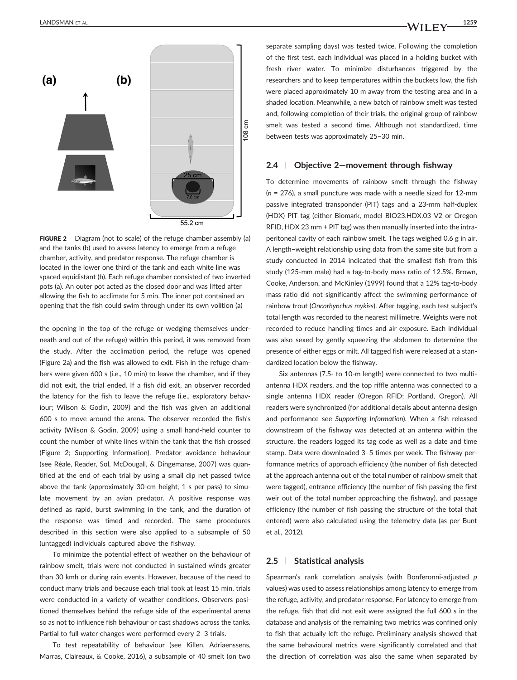LANDSMAN ET AL.  $\begin{array}{|c|c|c|c|c|}\hline \text{LANDSMAN ET AL} & \text{1259} \ \hline \end{array}$ 



FIGURE 2 Diagram (not to scale) of the refuge chamber assembly (a) and the tanks (b) used to assess latency to emerge from a refuge chamber, activity, and predator response. The refuge chamber is located in the lower one third of the tank and each white line was spaced equidistant (b). Each refuge chamber consisted of two inverted pots (a). An outer pot acted as the closed door and was lifted after allowing the fish to acclimate for 5 min. The inner pot contained an opening that the fish could swim through under its own volition (a)

the opening in the top of the refuge or wedging themselves underneath and out of the refuge) within this period, it was removed from the study. After the acclimation period, the refuge was opened (Figure 2a) and the fish was allowed to exit. Fish in the refuge chambers were given 600 s (i.e., 10 min) to leave the chamber, and if they did not exit, the trial ended. If a fish did exit, an observer recorded the latency for the fish to leave the refuge (i.e., exploratory behaviour; Wilson & Godin, 2009) and the fish was given an additional 600 s to move around the arena. The observer recorded the fish's activity (Wilson & Godin, 2009) using a small hand‐held counter to count the number of white lines within the tank that the fish crossed (Figure 2; Supporting Information). Predator avoidance behaviour (see Réale, Reader, Sol, McDougall, & Dingemanse, 2007) was quantified at the end of each trial by using a small dip net passed twice above the tank (approximately 30‐cm height, 1 s per pass) to simulate movement by an avian predator. A positive response was defined as rapid, burst swimming in the tank, and the duration of the response was timed and recorded. The same procedures described in this section were also applied to a subsample of 50 (untagged) individuals captured above the fishway.

To minimize the potential effect of weather on the behaviour of rainbow smelt, trials were not conducted in sustained winds greater than 30 kmh or during rain events. However, because of the need to conduct many trials and because each trial took at least 15 min, trials were conducted in a variety of weather conditions. Observers positioned themselves behind the refuge side of the experimental arena so as not to influence fish behaviour or cast shadows across the tanks. Partial to full water changes were performed every 2–3 trials.

To test repeatability of behaviour (see Killen, Adriaenssens, Marras, Claireaux, & Cooke, 2016), a subsample of 40 smelt (on two

separate sampling days) was tested twice. Following the completion of the first test, each individual was placed in a holding bucket with fresh river water. To minimize disturbances triggered by the researchers and to keep temperatures within the buckets low, the fish were placed approximately 10 m away from the testing area and in a shaded location. Meanwhile, a new batch of rainbow smelt was tested and, following completion of their trials, the original group of rainbow smelt was tested a second time. Although not standardized, time between tests was approximately 25–30 min.

#### 2.4 | Objective 2—movement through fishway

To determine movements of rainbow smelt through the fishway  $(n = 276)$ , a small puncture was made with a needle sized for 12-mm passive integrated transponder (PIT) tags and a 23‐mm half‐duplex (HDX) PIT tag (either Biomark, model BIO23.HDX.03 V2 or Oregon RFID, HDX 23 mm + PIT tag) was then manually inserted into the intraperitoneal cavity of each rainbow smelt. The tags weighed 0.6 g in air. A length–weight relationship using data from the same site but from a study conducted in 2014 indicated that the smallest fish from this study (125‐mm male) had a tag‐to‐body mass ratio of 12.5%. Brown, Cooke, Anderson, and McKinley (1999) found that a 12% tag‐to‐body mass ratio did not significantly affect the swimming performance of rainbow trout (Oncorhynchus mykiss). After tagging, each test subject's total length was recorded to the nearest millimetre. Weights were not recorded to reduce handling times and air exposure. Each individual was also sexed by gently squeezing the abdomen to determine the presence of either eggs or milt. All tagged fish were released at a standardized location below the fishway.

Six antennas (7.5‐ to 10‐m length) were connected to two multi‐ antenna HDX readers, and the top riffle antenna was connected to a single antenna HDX reader (Oregon RFID; Portland, Oregon). All readers were synchronized (for additional details about antenna design and performance see Supporting Information). When a fish released downstream of the fishway was detected at an antenna within the structure, the readers logged its tag code as well as a date and time stamp. Data were downloaded 3–5 times per week. The fishway performance metrics of approach efficiency (the number of fish detected at the approach antenna out of the total number of rainbow smelt that were tagged), entrance efficiency (the number of fish passing the first weir out of the total number approaching the fishway), and passage efficiency (the number of fish passing the structure of the total that entered) were also calculated using the telemetry data (as per Bunt et al., 2012).

#### 2.5 | Statistical analysis

Spearman's rank correlation analysis (with Bonferonni-adjusted p values) was used to assess relationships among latency to emerge from the refuge, activity, and predator response. For latency to emerge from the refuge, fish that did not exit were assigned the full 600 s in the database and analysis of the remaining two metrics was confined only to fish that actually left the refuge. Preliminary analysis showed that the same behavioural metrics were significantly correlated and that the direction of correlation was also the same when separated by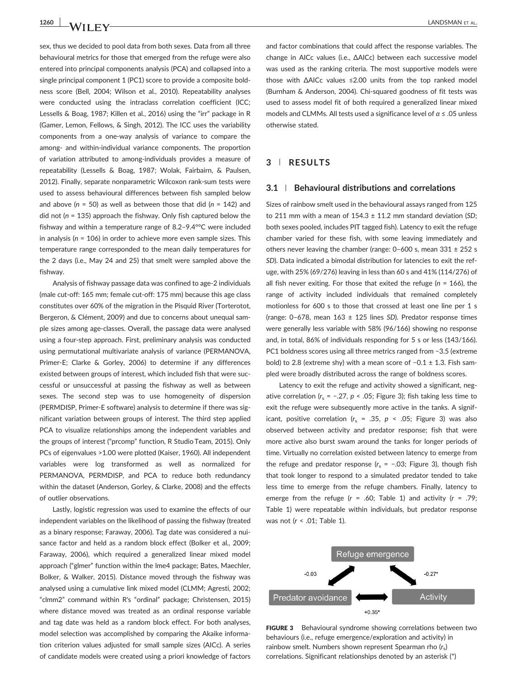sex, thus we decided to pool data from both sexes. Data from all three behavioural metrics for those that emerged from the refuge were also entered into principal components analysis (PCA) and collapsed into a single principal component 1 (PC1) score to provide a composite boldness score (Bell, 2004; Wilson et al., 2010). Repeatability analyses were conducted using the intraclass correlation coefficient (ICC; Lessells & Boag, 1987; Killen et al., 2016) using the "irr" package in R (Gamer, Lemon, Fellows, & Singh, 2012). The ICC uses the variability components from a one‐way analysis of variance to compare the among‐ and within‐individual variance components. The proportion of variation attributed to among‐individuals provides a measure of repeatability (Lessells & Boag, 1987; Wolak, Fairbairn, & Paulsen, 2012). Finally, separate nonparametric Wilcoxon rank‐sum tests were used to assess behavioural differences between fish sampled below and above ( $n = 50$ ) as well as between those that did ( $n = 142$ ) and did not ( $n = 135$ ) approach the fishway. Only fish captured below the fishway and within a temperature range of 8.2–9.4°°C were included in analysis ( $n = 106$ ) in order to achieve more even sample sizes. This temperature range corresponded to the mean daily temperatures for the 2 days (i.e., May 24 and 25) that smelt were sampled above the fishway.

Analysis of fishway passage data was confined to age‐2 individuals (male cut‐off: 165 mm; female cut‐off: 175 mm) because this age class constitutes over 60% of the migration in the Pisquid River (Torterotot, Bergeron, & Clément, 2009) and due to concerns about unequal sample sizes among age‐classes. Overall, the passage data were analysed using a four‐step approach. First, preliminary analysis was conducted using permutational multivariate analysis of variance (PERMANOVA, Primer-E; Clarke & Gorley, 2006) to determine if any differences existed between groups of interest, which included fish that were successful or unsuccessful at passing the fishway as well as between sexes. The second step was to use homogeneity of dispersion (PERMDISP, Primer‐E software) analysis to determine if there was significant variation between groups of interest. The third step applied PCA to visualize relationships among the independent variables and the groups of interest ("prcomp" function, R Studio Team, 2015). Only PCs of eigenvalues >1.00 were plotted (Kaiser, 1960). All independent variables were log transformed as well as normalized for PERMANOVA, PERMDISP, and PCA to reduce both redundancy within the dataset (Anderson, Gorley, & Clarke, 2008) and the effects of outlier observations.

Lastly, logistic regression was used to examine the effects of our independent variables on the likelihood of passing the fishway (treated as a binary response; Faraway, 2006). Tag date was considered a nuisance factor and held as a random block effect (Bolker et al., 2009; Faraway, 2006), which required a generalized linear mixed model approach ("glmer" function within the lme4 package; Bates, Maechler, Bolker, & Walker, 2015). Distance moved through the fishway was analysed using a cumulative link mixed model (CLMM; Agresti, 2002; "clmm2" command within R's "ordinal" package; Christensen, 2015) where distance moved was treated as an ordinal response variable and tag date was held as a random block effect. For both analyses, model selection was accomplished by comparing the Akaike information criterion values adjusted for small sample sizes (AICc). A series of candidate models were created using a priori knowledge of factors and factor combinations that could affect the response variables. The change in AICc values (i.e., ΔAICc) between each successive model was used as the ranking criteria. The most supportive models were those with ΔAICc values ≤2.00 units from the top ranked model (Burnham & Anderson, 2004). Chi‐squared goodness of fit tests was used to assess model fit of both required a generalized linear mixed models and CLMMs. All tests used a significance level of  $\alpha \leq .05$  unless otherwise stated.

# 3 | RESULTS

#### 3.1 | Behavioural distributions and correlations

Sizes of rainbow smelt used in the behavioural assays ranged from 125 to 211 mm with a mean of  $154.3 \pm 11.2$  mm standard deviation (SD; both sexes pooled, includes PIT tagged fish). Latency to exit the refuge chamber varied for these fish, with some leaving immediately and others never leaving the chamber (range: 0–600 s, mean 331 ± 252 s SD). Data indicated a bimodal distribution for latencies to exit the refuge, with 25% (69/276) leaving in less than 60 s and 41% (114/276) of all fish never exiting. For those that exited the refuge ( $n = 166$ ), the range of activity included individuals that remained completely motionless for 600 s to those that crossed at least one line per 1 s (range:  $0-678$ , mean  $163 \pm 125$  lines SD). Predator response times were generally less variable with 58% (96/166) showing no response and, in total, 86% of individuals responding for 5 s or less (143/166). PC1 boldness scores using all three metrics ranged from −3.5 (extreme bold) to 2.8 (extreme shy) with a mean score of −0.1 ± 1.3. Fish sampled were broadly distributed across the range of boldness scores.

Latency to exit the refuge and activity showed a significant, negative correlation ( $r_s$  = −.27,  $p$  < .05; Figure 3); fish taking less time to exit the refuge were subsequently more active in the tanks. A significant, positive correlation ( $r_s$  = .35,  $p \lt 0.05$ ; Figure 3) was also observed between activity and predator response; fish that were more active also burst swam around the tanks for longer periods of time. Virtually no correlation existed between latency to emerge from the refuge and predator response ( $r_s$  = -.03; Figure 3), though fish that took longer to respond to a simulated predator tended to take less time to emerge from the refuge chambers. Finally, latency to emerge from the refuge  $(r = .60;$  Table 1) and activity  $(r = .79;$ Table 1) were repeatable within individuals, but predator response was not (r < .01; Table 1).



FIGURE 3 Behavioural syndrome showing correlations between two behaviours (i.e., refuge emergence/exploration and activity) in rainbow smelt. Numbers shown represent Spearman rho  $(r<sub>s</sub>)$ correlations. Significant relationships denoted by an asterisk (\*)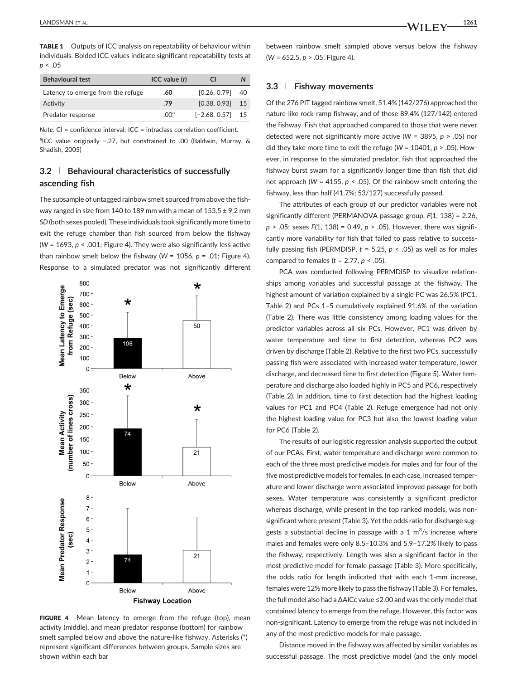TABLE 1 Outputs of ICC analysis on repeatability of behaviour within individuals. Bolded ICC values indicate significant repeatability tests at  $p < .05$ 

| <b>Behavioural test</b>           | ICC value (r)    | CI.             |    |
|-----------------------------------|------------------|-----------------|----|
| Latency to emerge from the refuge | .60              | [0.26, 0.79]    | 40 |
| Activity                          | .79              | [0.38, 0.93]    | 15 |
| Predator response                 | .00 <sup>a</sup> | $[-2.68, 0.57]$ | 15 |

Note. CI = confidence interval; ICC = intraclass correlation coefficient.

alCC value originally -.27, but constrained to .00 (Baldwin, Murray, & Shadish, 2005)

# 3.2 | Behavioural characteristics of successfully ascending fish

The subsample of untagged rainbow smelt sourced from above the fishway ranged in size from 140 to 189 mm with a mean of  $153.5 \pm 9.2$  mm SD(both sexes pooled). These individuals took significantly more time to exit the refuge chamber than fish sourced from below the fishway (W = 1693,  $p < .001$ ; Figure 4). They were also significantly less active than rainbow smelt below the fishway ( $W = 1056$ ,  $p = .01$ ; Figure 4). Response to a simulated predator was not significantly different



FIGURE 4 Mean latency to emerge from the refuge (top), mean activity (middle), and mean predator response (bottom) for rainbow smelt sampled below and above the nature-like fishway. Asterisks (\*) represent significant differences between groups. Sample sizes are shown within each bar

between rainbow smelt sampled above versus below the fishway  $(W = 652.5, p > .05$ ; Figure 4).

#### 3.3 | Fishway movements

Of the 276 PIT tagged rainbow smelt, 51.4% (142/276) approached the nature‐like rock‐ramp fishway, and of those 89.4% (127/142) entered the fishway. Fish that approached compared to those that were never detected were not significantly more active (W = 3895,  $p > .05$ ) nor did they take more time to exit the refuge (W = 10401,  $p > .05$ ). However, in response to the simulated predator, fish that approached the fishway burst swam for a significantly longer time than fish that did not approach (W = 4155,  $p < .05$ ). Of the rainbow smelt entering the fishway, less than half (41.7%; 53/127) successfully passed.

The attributes of each group of our predictor variables were not significantly different (PERMANOVA passage group, F(1, 138) = 2.26,  $p > .05$ ; sexes  $F(1, 138) = 0.49$ ,  $p > .05$ ). However, there was significantly more variability for fish that failed to pass relative to successfully passing fish (PERMDISP,  $t = 5.25$ ,  $p < .05$ ) as well as for males compared to females ( $t = 2.77$ ,  $p < .05$ ).

PCA was conducted following PERMDISP to visualize relationships among variables and successful passage at the fishway. The highest amount of variation explained by a single PC was 26.5% (PC1; Table 2) and PCs 1–5 cumulatively explained 91.6% of the variation (Table 2). There was little consistency among loading values for the predictor variables across all six PCs. However, PC1 was driven by water temperature and time to first detection, whereas PC2 was driven by discharge (Table 2). Relative to the first two PCs, successfully passing fish were associated with increased water temperature, lower discharge, and decreased time to first detection (Figure 5). Water temperature and discharge also loaded highly in PC5 and PC6, respectively (Table 2). In addition, time to first detection had the highest loading values for PC1 and PC4 (Table 2). Refuge emergence had not only the highest loading value for PC3 but also the lowest loading value for PC6 (Table 2).

The results of our logistic regression analysis supported the output of our PCAs. First, water temperature and discharge were common to each of the three most predictive models for males and for four of the five most predictive models for females. In each case, increased temperature and lower discharge were associated improved passage for both sexes. Water temperature was consistently a significant predictor whereas discharge, while present in the top ranked models, was nonsignificant where present (Table 3). Yet the odds ratio for discharge suggests a substantial decline in passage with a 1  $\mathrm{m}^3/\mathrm{s}$  increase where males and females were only 8.5–10.3% and 5.9–17.2% likely to pass the fishway, respectively. Length was also a significant factor in the most predictive model for female passage (Table 3). More specifically, the odds ratio for length indicated that with each 1‐mm increase, females were 12% more likely to pass the fishway (Table 3). For females, the full model also had a ΔAICc value ≤2.00 and was the only model that contained latency to emerge from the refuge. However, this factor was non‐significant. Latency to emerge from the refuge was not included in any of the most predictive models for male passage.

Distance moved in the fishway was affected by similar variables as successful passage. The most predictive model (and the only model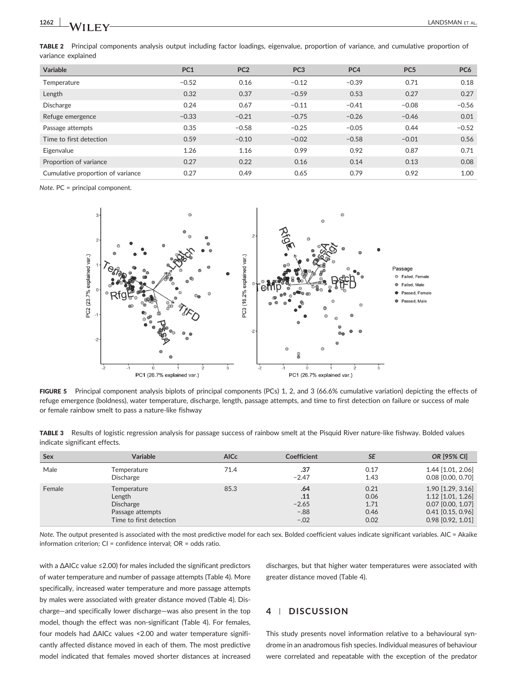TABLE 2 Principal components analysis output including factor loadings, eigenvalue, proportion of variance, and cumulative proportion of variance explained

| <b>Variable</b>                   | PC <sub>1</sub> | PC <sub>2</sub> | PC <sub>3</sub> | PC <sub>4</sub> | PC <sub>5</sub> | PC <sub>6</sub> |
|-----------------------------------|-----------------|-----------------|-----------------|-----------------|-----------------|-----------------|
| Temperature                       | $-0.52$         | 0.16            | $-0.12$         | $-0.39$         | 0.71            | 0.18            |
| Length                            | 0.32            | 0.37            | $-0.59$         | 0.53            | 0.27            | 0.27            |
| <b>Discharge</b>                  | 0.24            | 0.67            | $-0.11$         | $-0.41$         | $-0.08$         | $-0.56$         |
| Refuge emergence                  | $-0.33$         | $-0.21$         | $-0.75$         | $-0.26$         | $-0.46$         | 0.01            |
| Passage attempts                  | 0.35            | $-0.58$         | $-0.25$         | $-0.05$         | 0.44            | $-0.52$         |
| Time to first detection           | 0.59            | $-0.10$         | $-0.02$         | $-0.58$         | $-0.01$         | 0.56            |
| Eigenvalue                        | 1.26            | 1.16            | 0.99            | 0.92            | 0.87            | 0.71            |
| Proportion of variance            | 0.27            | 0.22            | 0.16            | 0.14            | 0.13            | 0.08            |
| Cumulative proportion of variance | 0.27            | 0.49            | 0.65            | 0.79            | 0.92            | 1.00            |

Note. PC = principal component.



FIGURE 5 Principal component analysis biplots of principal components (PCs) 1, 2, and 3 (66.6% cumulative variation) depicting the effects of refuge emergence (boldness), water temperature, discharge, length, passage attempts, and time to first detection on failure or success of male or female rainbow smelt to pass a nature‐like fishway

TABLE 3 Results of logistic regression analysis for passage success of rainbow smelt at the Pisquid River nature-like fishway. Bolded values indicate significant effects.

| Sex    | Variable                                                                                 | <b>AICc</b> | Coefficient                               | <b>SE</b>                            | OR [95% CI]                                                                                                 |
|--------|------------------------------------------------------------------------------------------|-------------|-------------------------------------------|--------------------------------------|-------------------------------------------------------------------------------------------------------------|
| Male   | Temperature<br>Discharge                                                                 | 71.4        | .37<br>$-2.47$                            | 0.17<br>1.43                         | 1.44 [1.01, 2.06]<br>$0.08$ $[0.00, 0.70]$                                                                  |
| Female | Temperature<br>Length<br><b>Discharge</b><br>Passage attempts<br>Time to first detection | 85.3        | .64<br>.11<br>$-2.65$<br>$-.88$<br>$-.02$ | 0.21<br>0.06<br>1.71<br>0.46<br>0.02 | $1.90$ [1.29, 3.16]<br>1.12 [1.01, 1.26]<br>0.07 [0.00, 1.07]<br>$0.41$ [0.15, 0.96]<br>$0.98$ [0.92, 1.01] |

Note. The output presented is associated with the most predictive model for each sex. Bolded coefficient values indicate significant variables. AIC = Akaike information criterion; CI = confidence interval; OR = odds ratio.

with a ΔAICc value ≤2.00) for males included the significant predictors of water temperature and number of passage attempts (Table 4). More specifically, increased water temperature and more passage attempts by males were associated with greater distance moved (Table 4). Discharge—and specifically lower discharge—was also present in the top model, though the effect was non-significant (Table 4). For females, four models had ΔAICc values <2.00 and water temperature significantly affected distance moved in each of them. The most predictive model indicated that females moved shorter distances at increased

discharges, but that higher water temperatures were associated with greater distance moved (Table 4).

#### 4 | DISCUSSION

This study presents novel information relative to a behavioural syndrome in an anadromous fish species. Individual measures of behaviour were correlated and repeatable with the exception of the predator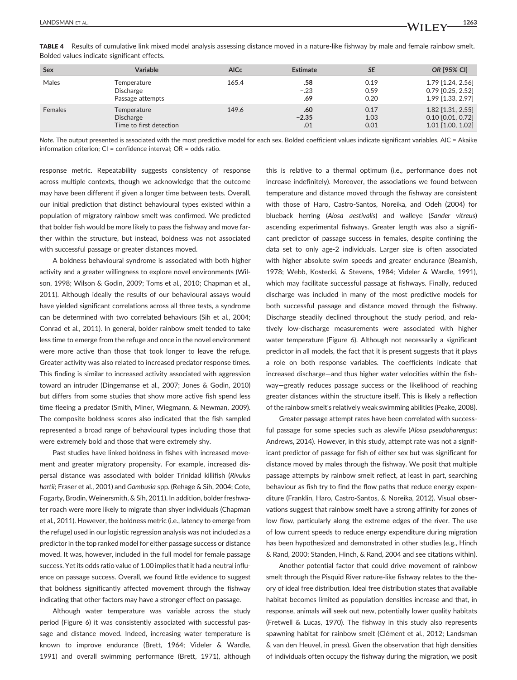| Sex     | Variable                                                   | <b>AICc</b> | <b>Estimate</b>       | <b>SE</b>            | OR [95% CI]                                                     |
|---------|------------------------------------------------------------|-------------|-----------------------|----------------------|-----------------------------------------------------------------|
| Males   | Temperature<br>Discharge<br>Passage attempts               | 165.4       | .58<br>$-.23$<br>.69  | 0.19<br>0.59<br>0.20 | 1.79 [1.24, 2.56]<br>$0.79$ [0.25, 2.52]<br>1.99 [1.33, 2.97]   |
| Females | Temperature<br><b>Discharge</b><br>Time to first detection | 149.6       | .60<br>$-2.35$<br>.01 | 0.17<br>1.03<br>0.01 | 1.82 [1.31, 2.55]<br>$0.10$ [0.01, 0.72]<br>$1.01$ [1.00, 1.02] |

TABLE 4 Results of cumulative link mixed model analysis assessing distance moved in a nature-like fishway by male and female rainbow smelt. Bolded values indicate significant effects.

Note. The output presented is associated with the most predictive model for each sex. Bolded coefficient values indicate significant variables. AIC = Akaike information criterion; CI = confidence interval; OR = odds ratio.

response metric. Repeatability suggests consistency of response across multiple contexts, though we acknowledge that the outcome may have been different if given a longer time between tests. Overall, our initial prediction that distinct behavioural types existed within a population of migratory rainbow smelt was confirmed. We predicted that bolder fish would be more likely to pass the fishway and move farther within the structure, but instead, boldness was not associated with successful passage or greater distances moved.

A boldness behavioural syndrome is associated with both higher activity and a greater willingness to explore novel environments (Wilson, 1998; Wilson & Godin, 2009; Toms et al., 2010; Chapman et al., 2011). Although ideally the results of our behavioural assays would have yielded significant correlations across all three tests, a syndrome can be determined with two correlated behaviours (Sih et al., 2004; Conrad et al., 2011). In general, bolder rainbow smelt tended to take less time to emerge from the refuge and once in the novel environment were more active than those that took longer to leave the refuge. Greater activity was also related to increased predator response times. This finding is similar to increased activity associated with aggression toward an intruder (Dingemanse et al., 2007; Jones & Godin, 2010) but differs from some studies that show more active fish spend less time fleeing a predator (Smith, Miner, Wiegmann, & Newman, 2009). The composite boldness scores also indicated that the fish sampled represented a broad range of behavioural types including those that were extremely bold and those that were extremely shy.

Past studies have linked boldness in fishes with increased movement and greater migratory propensity. For example, increased dispersal distance was associated with bolder Trinidad killifish (Rivulus hartii; Fraser et al., 2001) and Gambusia spp. (Rehage & Sih, 2004; Cote, Fogarty, Brodin, Weinersmith, & Sih, 2011). In addition, bolder freshwater roach were more likely to migrate than shyer individuals (Chapman et al., 2011). However, the boldness metric (i.e., latency to emerge from the refuge) used in our logistic regression analysis was not included as a predictor in the top ranked model for either passage success or distance moved. It was, however, included in the full model for female passage success. Yet its odds ratio value of 1.00 implies that it had a neutral influence on passage success. Overall, we found little evidence to suggest that boldness significantly affected movement through the fishway indicating that other factors may have a stronger effect on passage.

Although water temperature was variable across the study period (Figure 6) it was consistently associated with successful passage and distance moved. Indeed, increasing water temperature is known to improve endurance (Brett, 1964; Videler & Wardle, 1991) and overall swimming performance (Brett, 1971), although

this is relative to a thermal optimum (i.e., performance does not increase indefinitely). Moreover, the associations we found between temperature and distance moved through the fishway are consistent with those of Haro, Castro‐Santos, Noreika, and Odeh (2004) for blueback herring (Alosa aestivalis) and walleye (Sander vitreus) ascending experimental fishways. Greater length was also a significant predictor of passage success in females, despite confining the data set to only age‐2 individuals. Larger size is often associated with higher absolute swim speeds and greater endurance (Beamish, 1978; Webb, Kostecki, & Stevens, 1984; Videler & Wardle, 1991), which may facilitate successful passage at fishways. Finally, reduced discharge was included in many of the most predictive models for both successful passage and distance moved through the fishway. Discharge steadily declined throughout the study period, and relatively low‐discharge measurements were associated with higher water temperature (Figure 6). Although not necessarily a significant predictor in all models, the fact that it is present suggests that it plays a role on both response variables. The coefficients indicate that increased discharge—and thus higher water velocities within the fishway—greatly reduces passage success or the likelihood of reaching greater distances within the structure itself. This is likely a reflection of the rainbow smelt's relatively weak swimming abilities (Peake, 2008).

Greater passage attempt rates have been correlated with successful passage for some species such as alewife (Alosa pseudoharengus; Andrews, 2014). However, in this study, attempt rate was not a significant predictor of passage for fish of either sex but was significant for distance moved by males through the fishway. We posit that multiple passage attempts by rainbow smelt reflect, at least in part, searching behaviour as fish try to find the flow paths that reduce energy expenditure (Franklin, Haro, Castro‐Santos, & Noreika, 2012). Visual observations suggest that rainbow smelt have a strong affinity for zones of low flow, particularly along the extreme edges of the river. The use of low current speeds to reduce energy expenditure during migration has been hypothesized and demonstrated in other studies (e.g., Hinch & Rand, 2000; Standen, Hinch, & Rand, 2004 and see citations within).

Another potential factor that could drive movement of rainbow smelt through the Pisquid River nature‐like fishway relates to the theory of ideal free distribution. Ideal free distribution states that available habitat becomes limited as population densities increase and that, in response, animals will seek out new, potentially lower quality habitats (Fretwell & Lucas, 1970). The fishway in this study also represents spawning habitat for rainbow smelt (Clément et al., 2012; Landsman & van den Heuvel, in press). Given the observation that high densities of individuals often occupy the fishway during the migration, we posit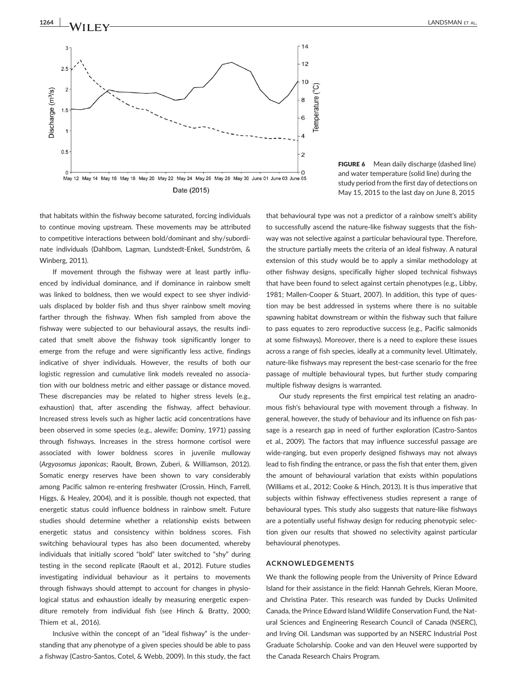

FIGURE 6 Mean daily discharge (dashed line) and water temperature (solid line) during the study period from the first day of detections on May 15, 2015 to the last day on June 8, 2015

that habitats within the fishway become saturated, forcing individuals to continue moving upstream. These movements may be attributed to competitive interactions between bold/dominant and shy/subordinate individuals (Dahlbom, Lagman, Lundstedt‐Enkel, Sundström, & Winberg, 2011).

If movement through the fishway were at least partly influenced by individual dominance, and if dominance in rainbow smelt was linked to boldness, then we would expect to see shyer individuals displaced by bolder fish and thus shyer rainbow smelt moving farther through the fishway. When fish sampled from above the fishway were subjected to our behavioural assays, the results indicated that smelt above the fishway took significantly longer to emerge from the refuge and were significantly less active, findings indicative of shyer individuals. However, the results of both our logistic regression and cumulative link models revealed no association with our boldness metric and either passage or distance moved. These discrepancies may be related to higher stress levels (e.g., exhaustion) that, after ascending the fishway, affect behaviour. Increased stress levels such as higher lactic acid concentrations have been observed in some species (e.g., alewife; Dominy, 1971) passing through fishways. Increases in the stress hormone cortisol were associated with lower boldness scores in juvenile mulloway (Argyosomus japonicas; Raoult, Brown, Zuberi, & Williamson, 2012). Somatic energy reserves have been shown to vary considerably among Pacific salmon re‐entering freshwater (Crossin, Hinch, Farrell, Higgs, & Healey, 2004), and it is possible, though not expected, that energetic status could influence boldness in rainbow smelt. Future studies should determine whether a relationship exists between energetic status and consistency within boldness scores. Fish switching behavioural types has also been documented, whereby individuals that initially scored "bold" later switched to "shy" during testing in the second replicate (Raoult et al., 2012). Future studies investigating individual behaviour as it pertains to movements through fishways should attempt to account for changes in physiological status and exhaustion ideally by measuring energetic expenditure remotely from individual fish (see Hinch & Bratty, 2000; Thiem et al., 2016).

Inclusive within the concept of an "ideal fishway" is the understanding that any phenotype of a given species should be able to pass a fishway (Castro‐Santos, Cotel, & Webb, 2009). In this study, the fact

that behavioural type was not a predictor of a rainbow smelt's ability to successfully ascend the nature‐like fishway suggests that the fishway was not selective against a particular behavioural type. Therefore, the structure partially meets the criteria of an ideal fishway. A natural extension of this study would be to apply a similar methodology at other fishway designs, specifically higher sloped technical fishways that have been found to select against certain phenotypes (e.g., Libby, 1981; Mallen‐Cooper & Stuart, 2007). In addition, this type of question may be best addressed in systems where there is no suitable spawning habitat downstream or within the fishway such that failure to pass equates to zero reproductive success (e.g., Pacific salmonids at some fishways). Moreover, there is a need to explore these issues across a range of fish species, ideally at a community level. Ultimately, nature-like fishways may represent the best-case scenario for the free passage of multiple behavioural types, but further study comparing multiple fishway designs is warranted.

Our study represents the first empirical test relating an anadromous fish's behavioural type with movement through a fishway. In general, however, the study of behaviour and its influence on fish passage is a research gap in need of further exploration (Castro‐Santos et al., 2009). The factors that may influence successful passage are wide-ranging, but even properly designed fishways may not always lead to fish finding the entrance, or pass the fish that enter them, given the amount of behavioural variation that exists within populations (Williams et al., 2012; Cooke & Hinch, 2013). It is thus imperative that subjects within fishway effectiveness studies represent a range of behavioural types. This study also suggests that nature‐like fishways are a potentially useful fishway design for reducing phenotypic selection given our results that showed no selectivity against particular behavioural phenotypes.

#### ACKNOWLEDGEMENTS

We thank the following people from the University of Prince Edward Island for their assistance in the field: Hannah Gehrels, Kieran Moore, and Christina Pater. This research was funded by Ducks Unlimited Canada, the Prince Edward Island Wildlife Conservation Fund, the Natural Sciences and Engineering Research Council of Canada (NSERC), and Irving Oil. Landsman was supported by an NSERC Industrial Post Graduate Scholarship. Cooke and van den Heuvel were supported by the Canada Research Chairs Program.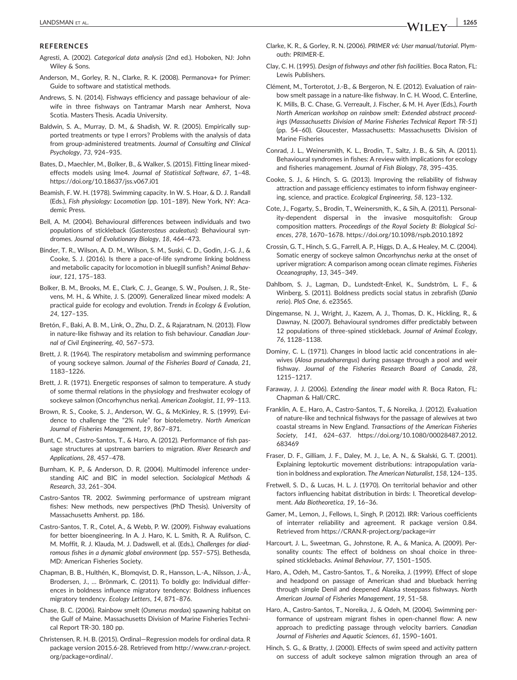#### **REFERENCES**

- Agresti, A. (2002). Categorical data analysis (2nd ed.). Hoboken, NJ: John Wiley & Sons.
- Anderson, M., Gorley, R. N., Clarke, R. K. (2008). Permanova+ for Primer: Guide to software and statistical methods.
- Andrews, S. N. (2014). Fishways efficiency and passage behaviour of alewife in three fishways on Tantramar Marsh near Amherst, Nova Scotia. Masters Thesis. Acadia University.
- Baldwin, S. A., Murray, D. M., & Shadish, W. R. (2005). Empirically supported treatments or type I errors? Problems with the analysis of data from group‐administered treatments. Journal of Consulting and Clinical Psychology, 73, 924–935.
- Bates, D., Maechler, M., Bolker, B., & Walker, S. (2015). Fitting linear mixed‐ effects models using lme4. Journal of Statistical Software, 67, 1–48. <https://doi.org/10.18637/jss.v067.i01>
- Beamish, F. W. H. (1978). Swimming capacity. In W. S. Hoar, & D. J. Randall (Eds.), Fish physiology: Locomotion (pp. 101–189). New York, NY: Academic Press.
- Bell, A. M. (2004). Behavioural differences between individuals and two populations of stickleback (Gasterosteus aculeatus): Behavioural syndromes. Journal of Evolutionary Biology, 18, 464–473.
- Binder, T. R., Wilson, A. D. M., Wilson, S. M., Suski, C. D., Godin, J.‐G. J., & Cooke, S. J. (2016). Is there a pace‐of‐life syndrome linking boldness and metabolic capacity for locomotion in bluegill sunfish? Animal Behaviour, 121, 175–183.
- Bolker, B. M., Brooks, M. E., Clark, C. J., Geange, S. W., Poulsen, J. R., Stevens, M. H., & White, J. S. (2009). Generalized linear mixed models: A practical guide for ecology and evolution. Trends in Ecology & Evolution, 24, 127–135.
- Bretón, F., Baki, A. B. M., Link, O., Zhu, D. Z., & Rajaratnam, N. (2013). Flow in nature‐like fishway and its relation to fish behaviour. Canadian Journal of Civil Engineering, 40, 567–573.
- Brett, J. R. (1964). The respiratory metabolism and swimming performance of young sockeye salmon. Journal of the Fisheries Board of Canada, 21, 1183–1226.
- Brett, J. R. (1971). Energetic responses of salmon to temperature. A study of some thermal relations in the physiology and freshwater ecology of sockeye salmon (Oncorhynchus nerka). American Zoologist, 11, 99–113.
- Brown, R. S., Cooke, S. J., Anderson, W. G., & McKinley, R. S. (1999). Evidence to challenge the "2% rule" for biotelemetry. North American Journal of Fisheries Management, 19, 867–871.
- Bunt, C. M., Castro‐Santos, T., & Haro, A. (2012). Performance of fish passage structures at upstream barriers to migration. River Research and Applications, 28, 457–478.
- Burnham, K. P., & Anderson, D. R. (2004). Multimodel inference understanding AIC and BIC in model selection. Sociological Methods & Research, 33, 261–304.
- Castro‐Santos TR. 2002. Swimming performance of upstream migrant fishes: New methods, new perspectives (PhD Thesis). University of Massachusetts Amherst. pp. 186.
- Castro‐Santos, T. R., Cotel, A., & Webb, P. W. (2009). Fishway evaluations for better bioengineering. In A. J. Haro, K. L. Smith, R. A. Rulifson, C. M. Moffit, R. J. Klauda, M. J. Dadswell, et al. (Eds.), Challenges for diadromous fishes in a dynamic global environment (pp. 557–575). Bethesda, MD: American Fisheries Society.
- Chapman, B. B., Hulthén, K., Blomqvist, D. R., Hansson, L.‐A., Nilsson, J.‐Å., Brodersen, J., … Brönmark, C. (2011). To boldly go: Individual differences in boldness influence migratory tendency: Boldness influences migratory tendency. Ecology Letters, 14, 871–876.
- Chase, B. C. (2006). Rainbow smelt (Osmerus mordax) spawning habitat on the Gulf of Maine. Massachusetts Division of Marine Fisheries Technical Report TR‐30. 180 pp.
- Christensen, R. H. B. (2015). Ordinal—Regression models for ordinal data. R package version 2015.6‐28. Retrieved from [http://www.cran.r](http://www.cran.r-project.org/package=ordinal/)‐project. [org/package=ordinal/](http://www.cran.r-project.org/package=ordinal/).
- Clarke, K. R., & Gorley, R. N. (2006). PRIMER v6: User manual/tutorial. Plymouth: PRIMER‐E.
- Clay, C. H. (1995). Design of fishways and other fish facilities. Boca Raton, FL: Lewis Publishers.
- Clément, M., Torterotot, J.‐B., & Bergeron, N. E. (2012). Evaluation of rainbow smelt passage in a nature‐like fishway. In C. H. Wood, C. Enterline, K. Mills, B. C. Chase, G. Verreault, J. Fischer, & M. H. Ayer (Eds.), Fourth North American workshop on rainbow smelt: Extended abstract proceedings (Massachusetts Division of Marine Fisheries Technical Report TR‐51) (pp. 54–60). Gloucester, Massachusetts: Massachusetts Division of Marine Fisheries
- Conrad, J. L., Weinersmith, K. L., Brodin, T., Saltz, J. B., & Sih, A. (2011). Behavioural syndromes in fishes: A review with implications for ecology and fisheries management. Journal of Fish Biology, 78, 395–435.
- Cooke, S. J., & Hinch, S. G. (2013). Improving the reliability of fishway attraction and passage efficiency estimates to inform fishway engineering, science, and practice. Ecological Engineering, 58, 123–132.
- Cote, J., Fogarty, S., Brodin, T., Weinersmith, K., & Sih, A. (2011). Personality‐dependent dispersal in the invasive mosquitofish: Group composition matters. Proceedings of the Royal Society B: Biological Sciences, 278, 1670–1678.<https://doi.org/10.1098/rspb.2010.1892>
- Crossin, G. T., Hinch, S. G., Farrell, A. P., Higgs, D. A., & Healey, M. C. (2004). Somatic energy of sockeye salmon Oncorhynchus nerka at the onset of upriver migration: A comparison among ocean climate regimes. Fisheries Oceanography, 13, 345–349.
- Dahlbom, S. J., Lagman, D., Lundstedt‐Enkel, K., Sundström, L. F., & Winberg, S. (2011). Boldness predicts social status in zebrafish (Danio rerio). PloS One, 6. e23565.
- Dingemanse, N. J., Wright, J., Kazem, A. J., Thomas, D. K., Hickling, R., & Dawnay, N. (2007). Behavioural syndromes differ predictably between 12 populations of three-spined stickleback. Journal of Animal Ecology, 76, 1128–1138.
- Dominy, C. L. (1971). Changes in blood lactic acid concentrations in alewives (Alosa pseudoharengus) during passage through a pool and weir fishway. Journal of the Fisheries Research Board of Canada, 28, 1215–1217.
- Faraway, J. J. (2006). Extending the linear model with R. Boca Raton, FL: Chapman & Hall/CRC.
- Franklin, A. E., Haro, A., Castro‐Santos, T., & Noreika, J. (2012). Evaluation of nature‐like and technical fishways for the passage of alewives at two coastal streams in New England. Transactions of the American Fisheries Society, 141, 624–637. [https://doi.org/10.1080/00028487.2012.](https://doi.org/10.1080/00028487.2012.683469) [683469](https://doi.org/10.1080/00028487.2012.683469)
- Fraser, D. F., Gilliam, J. F., Daley, M. J., Le, A. N., & Skalski, G. T. (2001). Explaining leptokurtic movement distributions: intrapopulation variation in boldness and exploration. The American Naturalist, 158, 124–135.
- Fretwell, S. D., & Lucas, H. L. J. (1970). On territorial behavior and other factors influencing habitat distribution in birds: I. Theoretical development. Ada Biotheoretica, 19, 16–36.
- Gamer, M., Lemon, J., Fellows, I., Singh, P. (2012). IRR: Various coefficients of interrater reliability and agreement. R package version 0.84. Retrieved from https://CRAN.R‐[project.org/package=irr](https://cran.r-project.org/package=irr)
- Harcourt, J. L., Sweetman, G., Johnstone, R. A., & Manica, A. (2009). Personality counts: The effect of boldness on shoal choice in three‐ spined sticklebacks. Animal Behaviour, 77, 1501–1505.
- Haro, A., Odeh, M., Castro‐Santos, T., & Noreika, J. (1999). Effect of slope and headpond on passage of American shad and blueback herring through simple Denil and deepened Alaska steeppass fishways. North American Journal of Fisheries Management, 19, 51–58.
- Haro, A., Castro‐Santos, T., Noreika, J., & Odeh, M. (2004). Swimming performance of upstream migrant fishes in open‐channel flow: A new approach to predicting passage through velocity barriers. Canadian Journal of Fisheries and Aquatic Sciences, 61, 1590–1601.
- Hinch, S. G., & Bratty, J. (2000). Effects of swim speed and activity pattern on success of adult sockeye salmon migration through an area of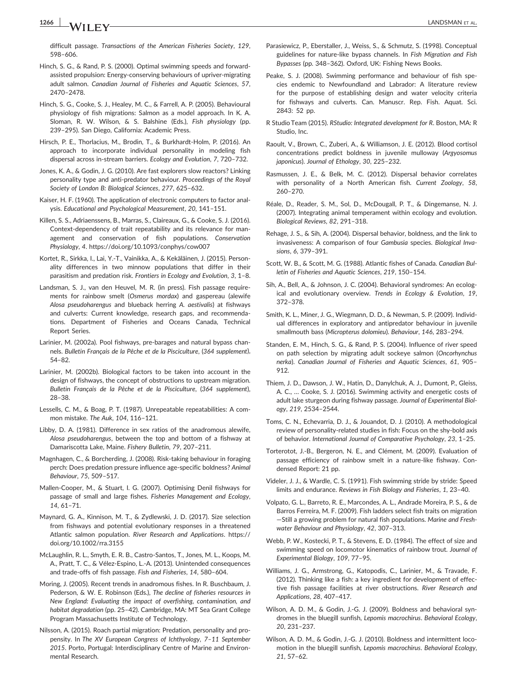1266 **LANDSMAN ET AL.** LANDSMAN ET AL.

difficult passage. Transactions of the American Fisheries Society, 129, 598–606.

- Hinch, S. G., & Rand, P. S. (2000). Optimal swimming speeds and forward‐ assisted propulsion: Energy‐conserving behaviours of upriver‐migrating adult salmon. Canadian Journal of Fisheries and Aquatic Sciences, 57, 2470–2478.
- Hinch, S. G., Cooke, S. J., Healey, M. C., & Farrell, A. P. (2005). Behavioural physiology of fish migrations: Salmon as a model approach. In K. A. Sloman, R. W. Wilson, & S. Balshine (Eds.), Fish physiology (pp. 239–295). San Diego, California: Academic Press.
- Hirsch, P. E., Thorlacius, M., Brodin, T., & Burkhardt‐Holm, P. (2016). An approach to incorporate individual personality in modeling fish dispersal across in‐stream barriers. Ecology and Evolution, 7, 720–732.
- Jones, K. A., & Godin, J. G. (2010). Are fast explorers slow reactors? Linking personality type and anti‐predator behaviour. Proceedings of the Royal Society of London B: Biological Sciences, 277, 625–632.
- Kaiser, H. F. (1960). The application of electronic computers to factor analysis. Educational and Psychological Measurement, 20, 141–151.
- Killen, S. S., Adriaenssens, B., Marras, S., Claireaux, G., & Cooke, S. J. (2016). Context-dependency of trait repeatability and its relevance for management and conservation of fish populations. Conservation Physiology, 4.<https://doi.org/10.1093/conphys/cow007>
- Kortet, R., Sirkka, I., Lai, Y.‐T., Vainikka, A., & Kekäläinen, J. (2015). Personality differences in two minnow populations that differ in their parasitism and predation risk. Frontiers in Ecology and Evolution, 3, 1–8.
- Landsman, S. J., van den Heuvel, M. R. (in press). Fish passage requirements for rainbow smelt (Osmerus mordax) and gaspereau (alewife Alosa pseudoharengus and blueback herring A. aestivalis) at fishways and culverts: Current knowledge, research gaps, and recommendations. Department of Fisheries and Oceans Canada, Technical Report Series.
- Larinier, M. (2002a). Pool fishways, pre‐barages and natural bypass channels. Bulletin Français de la Pêche et de la Pisciculture, (364 supplement), 54–82.
- Larinier, M. (2002b). Biological factors to be taken into account in the design of fishways, the concept of obstructions to upstream migration. Bulletin Français de la Pêche et de la Pisciculture, (364 supplement), 28–38.
- Lessells, C. M., & Boag, P. T. (1987). Unrepeatable repeatabilities: A common mistake. The Auk, 104, 116–121.
- Libby, D. A. (1981). Difference in sex ratios of the anadromous alewife, Alosa pseudoharengus, between the top and bottom of a fishway at Damariscotta Lake, Maine. Fishery Bulletin, 79, 207–211.
- Magnhagen, C., & Borcherding, J. (2008). Risk‐taking behaviour in foraging perch: Does predation pressure influence age‐specific boldness? Animal Behaviour, 75, 509–517.
- Mallen‐Cooper, M., & Stuart, I. G. (2007). Optimising Denil fishways for passage of small and large fishes. Fisheries Management and Ecology, 14, 61–71.
- Maynard, G. A., Kinnison, M. T., & Zydlewski, J. D. (2017). Size selection from fishways and potential evolutionary responses in a threatened Atlantic salmon population. River Research and Applications. [https://](https://doi.org/10.1002/rra.3155) [doi.org/10.1002/rra.3155](https://doi.org/10.1002/rra.3155)
- McLaughlin, R. L., Smyth, E. R. B., Castro‐Santos, T., Jones, M. L., Koops, M. A., Pratt, T. C., & Vélez‐Espino, L.‐A. (2013). Unintended consequences and trade‐offs of fish passage. Fish and Fisheries, 14, 580–604.
- Moring, J. (2005). Recent trends in anadromous fishes. In R. Buschbaum, J. Pederson, & W. E. Robinson (Eds.), The decline of fisheries resources in New England: Evaluating the impact of overfishing, contamination, and habitat degradation (pp. 25–42). Cambridge, MA: MT Sea Grant College Program Massachusetts Institute of Technology.
- Nilsson, A. (2015). Roach partial migration: Predation, personality and propensity. In The XV European Congress of Ichthyology, 7–11 September 2015. Porto, Portugal: Interdisciplinary Centre of Marine and Environmental Research.
- Parasiewicz, P., Eberstaller, J., Weiss, S., & Schmutz, S. (1998). Conceptual guidelines for nature‐like bypass channels. In Fish Migration and Fish Bypasses (pp. 348–362). Oxford, UK: Fishing News Books.
- Peake, S. J. (2008). Swimming performance and behaviour of fish species endemic to Newfoundland and Labrador: A literature review for the purpose of establishing design and water velocity criteria for fishways and culverts. Can. Manuscr. Rep. Fish. Aquat. Sci. 2843: 52 pp.
- R Studio Team (2015). RStudio: Integrated development for R. Boston, MA: R Studio, Inc.
- Raoult, V., Brown, C., Zuberi, A., & Williamson, J. E. (2012). Blood cortisol concentrations predict boldness in juvenile mulloway (Argyosomus japonicus). Journal of Ethology, 30, 225–232.
- Rasmussen, J. E., & Belk, M. C. (2012). Dispersal behavior correlates with personality of a North American fish. Current Zoology, 58, 260–270.
- Réale, D., Reader, S. M., Sol, D., McDougall, P. T., & Dingemanse, N. J. (2007). Integrating animal temperament within ecology and evolution. Biological Reviews, 82, 291–318.
- Rehage, J. S., & Sih, A. (2004). Dispersal behavior, boldness, and the link to invasiveness: A comparison of four Gambusia species. Biological Invasions, 6, 379–391.
- Scott, W. B., & Scott, M. G. (1988). Atlantic fishes of Canada. Canadian Bulletin of Fisheries and Aquatic Sciences, 219, 150–154.
- Sih, A., Bell, A., & Johnson, J. C. (2004). Behavioral syndromes: An ecological and evolutionary overview. Trends in Ecology & Evolution, 19, 372–378.
- Smith, K. L., Miner, J. G., Wiegmann, D. D., & Newman, S. P. (2009). Individual differences in exploratory and antipredator behaviour in juvenile smallmouth bass (Micropterus dolomieu). Behaviour, 146, 283–294.
- Standen, E. M., Hinch, S. G., & Rand, P. S. (2004). Influence of river speed on path selection by migrating adult sockeye salmon (Oncorhynchus nerka). Canadian Journal of Fisheries and Aquatic Sciences, 61, 905– 912.
- Thiem, J. D., Dawson, J. W., Hatin, D., Danylchuk, A. J., Dumont, P., Gleiss, A. C., … Cooke, S. J. (2016). Swimming activity and energetic costs of adult lake sturgeon during fishway passage. Journal of Experimental Biology, 219, 2534–2544.
- Toms, C. N., Echevarria, D. J., & Jouandot, D. J. (2010). A methodological review of personality‐related studies in fish: Focus on the shy‐bold axis of behavior. International Journal of Comparative Psychology, 23, 1–25.
- Torterotot, J.‐B., Bergeron, N. E., and Clément, M. (2009). Evaluation of passage efficiency of rainbow smelt in a nature‐like fishway. Condensed Report: 21 pp.
- Videler, J. J., & Wardle, C. S. (1991). Fish swimming stride by stride: Speed limits and endurance. Reviews in Fish Biology and Fisheries, 1, 23–40.
- Volpato, G. L., Barreto, R. E., Marcondes, A. L., Andrade Moreira, P. S., & de Barros Ferreira, M. F. (2009). Fish ladders select fish traits on migration —Still a growing problem for natural fish populations. Marine and Freshwater Behaviour and Physiology, 42, 307–313.
- Webb, P. W., Kostecki, P. T., & Stevens, E. D. (1984). The effect of size and swimming speed on locomotor kinematics of rainbow trout. Journal of Experimental Biology, 109, 77–95.
- Williams, J. G., Armstrong, G., Katopodis, C., Larinier, M., & Travade, F. (2012). Thinking like a fish: a key ingredient for development of effective fish passage facilities at river obstructions. River Research and Applications, 28, 407–417.
- Wilson, A. D. M., & Godin, J.‐G. J. (2009). Boldness and behavioral syndromes in the bluegill sunfish, Lepomis macrochirus. Behavioral Ecology, 20, 231–237.
- Wilson, A. D. M., & Godin, J.‐G. J. (2010). Boldness and intermittent locomotion in the bluegill sunfish, Lepomis macrochirus. Behavioral Ecology, 21, 57–62.